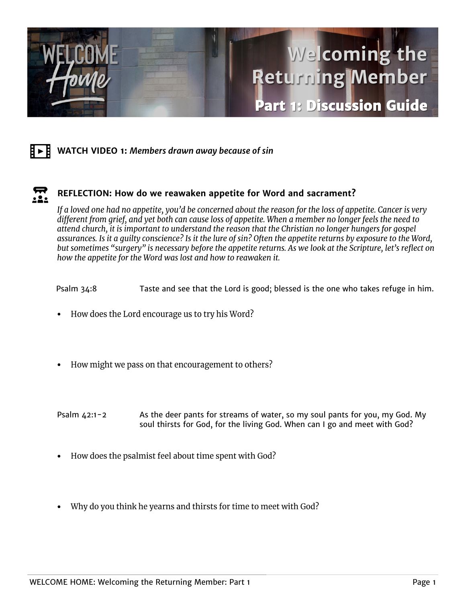

## Ħ►Ħ. **WATCH VIDEO 1:** *Members drawn away because of sin*

## $\boldsymbol{\Xi}$ **REFLECTION: How do we reawaken appetite for Word and sacrament?**

If a loved one had no appetite, you'd be concerned about the reason for the loss of appetite. Cancer is very different from grief, and yet both can cause loss of appetite. When a member no longer feels the need to attend church, it is important to understand the reason that the Christian no longer hungers for gospel assurances. Is it a quilty conscience? Is it the lure of sin? Often the appetite returns by exposure to the Word, but sometimes "surgery" is necessary before the appetite returns. As we look at the Scripture, let's reflect on how the appetite for the Word was lost and how to reawaken it.

Psalm 34:8 Taste and see that the Lord is good; blessed is the one who takes refuge in him.

- How does the Lord encourage us to try his Word?
- How might we pass on that encouragement to others? •
- Psalm 42:1-2 As the deer pants for streams of water, so my soul pants for you, my God. My soul thirsts for God, for the living God. When can I go and meet with God?
- How does the psalmist feel about time spent with God?
- Why do you think he yearns and thirsts for time to meet with God? •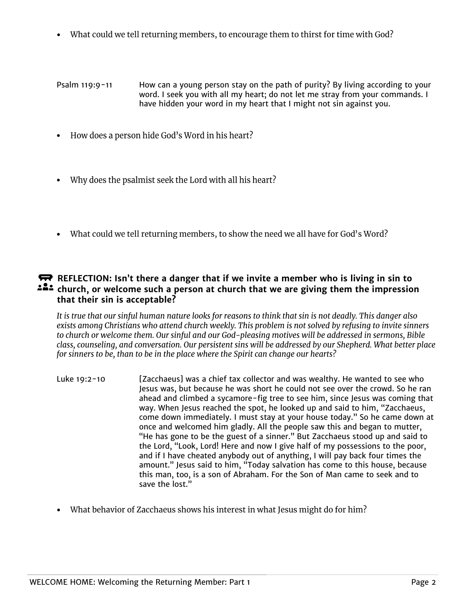• What could we tell returning members, to encourage them to thirst for time with God?

Psalm 119:9-11 How can a young person stay on the path of purity? By living according to your word. I seek you with all my heart; do not let me stray from your commands. I have hidden your word in my heart that I might not sin against you.

- How does a person hide God's Word in his heart?
- Why does the psalmist seek the Lord with all his heart?
- What could we tell returning members, to show the need we all have for God's Word?

## **REFLECTION:** Isn't there a danger that if we invite a member who is living in sin to **church, or welcome such a person at church that we are giving them the impression that their sin is acceptable?**

It is true that our sinful human nature looks for reasons to think that sin is not deadly. This danger also exists among Christians who attend church weekly. This problem is not solved by refusing to invite sinners to church or welcome them. Our sinful and our God-pleasing motives will be addressed in sermons, Bible class, counseling, and conversation. Our persistent sins will be addressed by our Shepherd. What better place for sinners to be, than to be in the place where the Spirit can change our hearts?

- Luke 19:2-10 [Zacchaeus] was a chief tax collector and was wealthy. He wanted to see who Jesus was, but because he was short he could not see over the crowd. So he ran ahead and climbed a sycamore-fig tree to see him, since Jesus was coming that way. When Jesus reached the spot, he looked up and said to him, "Zacchaeus, come down immediately. I must stay at your house today." So he came down at once and welcomed him gladly. All the people saw this and began to mutter, "He has gone to be the guest of a sinner." But Zacchaeus stood up and said to the Lord, "Look, Lord! Here and now I give half of my possessions to the poor, and if I have cheated anybody out of anything, I will pay back four times the amount." Jesus said to him, "Today salvation has come to this house, because this man, too, is a son of Abraham. For the Son of Man came to seek and to save the lost."
- What behavior of Zacchaeus shows his interest in what Jesus might do for him?